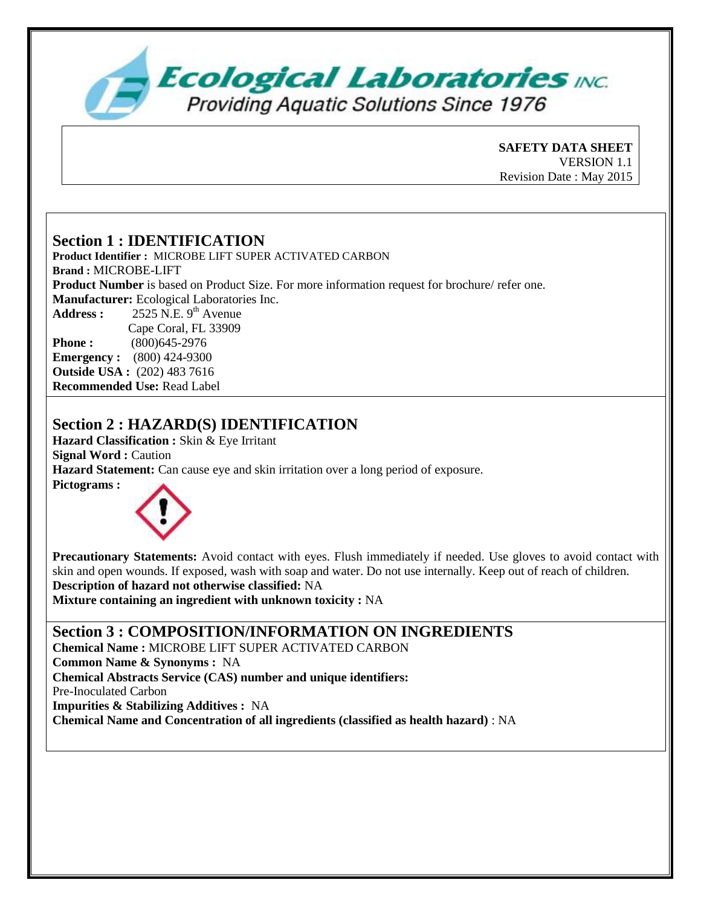

**SAFETY DATA SHEET**  VERSION 1.1 Revision Date : May 2015

### **Section 1 : IDENTIFICATION**

**Product Identifier :** MICROBE LIFT SUPER ACTIVATED CARBON **Brand :** MICROBE-LIFT **Product Number** is based on Product Size. For more information request for brochure/ refer one. **Manufacturer:** Ecological Laboratories Inc. Address :  $2525$  N.E. 9<sup>th</sup> Avenue Cape Coral, FL 33909 **Phone :** (800)645-2976 **Emergency :** (800) 424-9300 **Outside USA :** (202) 483 7616 **Recommended Use:** Read Label

### **Section 2 : HAZARD(S) IDENTIFICATION**

**Hazard Classification :** Skin & Eye Irritant **Signal Word :** Caution **Hazard Statement:** Can cause eye and skin irritation over a long period of exposure. **Pictograms :** 



**Precautionary Statements:** Avoid contact with eyes. Flush immediately if needed. Use gloves to avoid contact with skin and open wounds. If exposed, wash with soap and water. Do not use internally. Keep out of reach of children. **Description of hazard not otherwise classified:** NA

**Mixture containing an ingredient with unknown toxicity :** NA

**Section 3 : COMPOSITION/INFORMATION ON INGREDIENTS**

**Chemical Name :** MICROBE LIFT SUPER ACTIVATED CARBON **Common Name & Synonyms :** NA **Chemical Abstracts Service (CAS) number and unique identifiers:** Pre-Inoculated Carbon **Impurities & Stabilizing Additives :** NA

**Chemical Name and Concentration of all ingredients (classified as health hazard)** : NA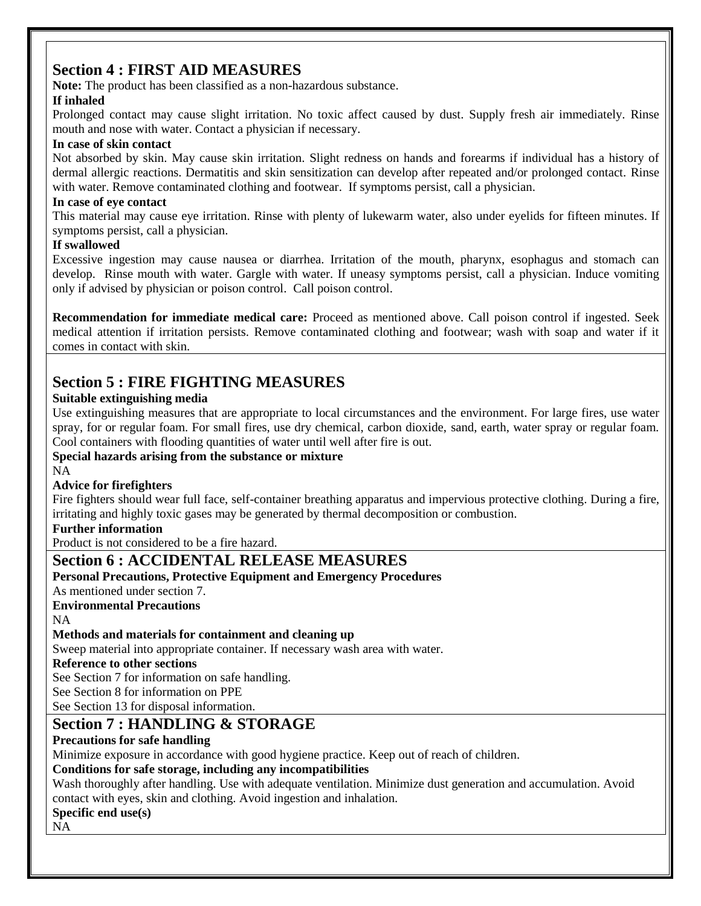### **Section 4 : FIRST AID MEASURES**

**Note:** The product has been classified as a non-hazardous substance.

### **If inhaled**

Prolonged contact may cause slight irritation. No toxic affect caused by dust. Supply fresh air immediately. Rinse mouth and nose with water. Contact a physician if necessary.

#### **In case of skin contact**

Not absorbed by skin. May cause skin irritation. Slight redness on hands and forearms if individual has a history of dermal allergic reactions. Dermatitis and skin sensitization can develop after repeated and/or prolonged contact. Rinse with water. Remove contaminated clothing and footwear. If symptoms persist, call a physician.

#### **In case of eye contact**

This material may cause eye irritation. Rinse with plenty of lukewarm water, also under eyelids for fifteen minutes. If symptoms persist, call a physician.

#### **If swallowed**

Excessive ingestion may cause nausea or diarrhea. Irritation of the mouth, pharynx, esophagus and stomach can develop. Rinse mouth with water. Gargle with water. If uneasy symptoms persist, call a physician. Induce vomiting only if advised by physician or poison control. Call poison control.

**Recommendation for immediate medical care:** Proceed as mentioned above. Call poison control if ingested. Seek medical attention if irritation persists. Remove contaminated clothing and footwear; wash with soap and water if it comes in contact with skin.

### **Section 5 : FIRE FIGHTING MEASURES**

### **Suitable extinguishing media**

Use extinguishing measures that are appropriate to local circumstances and the environment. For large fires, use water spray, for or regular foam. For small fires, use dry chemical, carbon dioxide, sand, earth, water spray or regular foam. Cool containers with flooding quantities of water until well after fire is out.

### **Special hazards arising from the substance or mixture**

NA

### **Advice for firefighters**

Fire fighters should wear full face, self-container breathing apparatus and impervious protective clothing. During a fire, irritating and highly toxic gases may be generated by thermal decomposition or combustion.

### **Further information**

Product is not considered to be a fire hazard.

### **Section 6 : ACCIDENTAL RELEASE MEASURES**

### **Personal Precautions, Protective Equipment and Emergency Procedures**

As mentioned under section 7.

### **Environmental Precautions**

NA

### **Methods and materials for containment and cleaning up**

Sweep material into appropriate container. If necessary wash area with water.

#### **Reference to other sections**

See Section 7 for information on safe handling.

See Section 8 for information on PPE

See Section 13 for disposal information.

### **Section 7 : HANDLING & STORAGE**

### **Precautions for safe handling**

Minimize exposure in accordance with good hygiene practice. Keep out of reach of children.

### **Conditions for safe storage, including any incompatibilities**

Wash thoroughly after handling. Use with adequate ventilation. Minimize dust generation and accumulation. Avoid contact with eyes, skin and clothing. Avoid ingestion and inhalation.

### **Specific end use(s)**

NA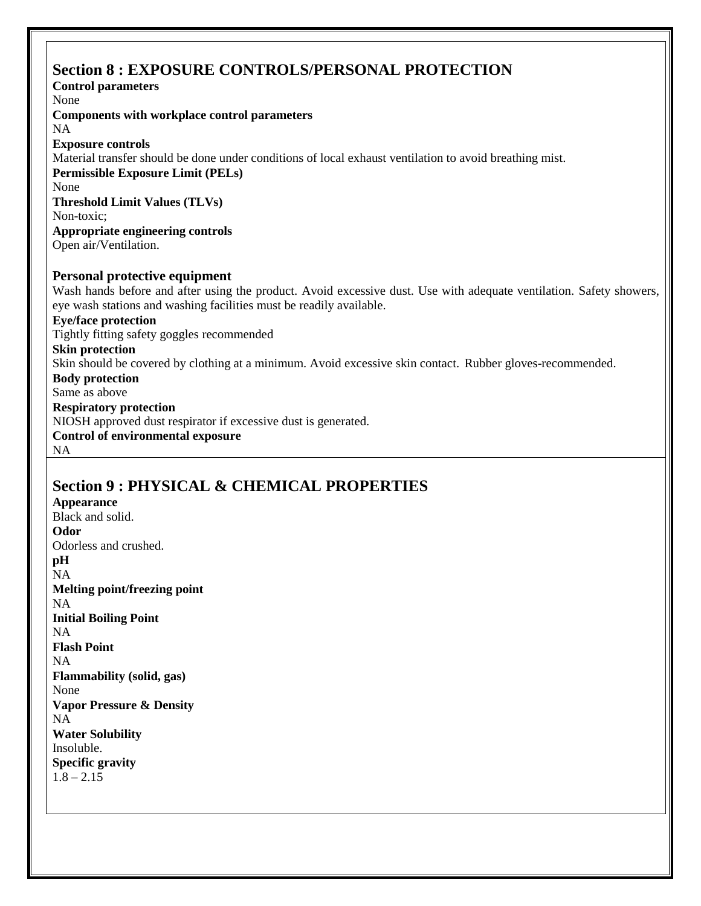### **Section 8 : EXPOSURE CONTROLS/PERSONAL PROTECTION**

**Control parameters** None **Components with workplace control parameters** NA **Exposure controls** Material transfer should be done under conditions of local exhaust ventilation to avoid breathing mist. **Permissible Exposure Limit (PELs)** None **Threshold Limit Values (TLVs)** Non-toxic; **Appropriate engineering controls** Open air/Ventilation. **Personal protective equipment** Wash hands before and after using the product. Avoid excessive dust. Use with adequate ventilation. Safety showers, eye wash stations and washing facilities must be readily available. **Eye/face protection** Tightly fitting safety goggles recommended **Skin protection** Skin should be covered by clothing at a minimum. Avoid excessive skin contact. Rubber gloves-recommended. **Body protection** Same as above **Respiratory protection** NIOSH approved dust respirator if excessive dust is generated. **Control of environmental exposure** NA

# **Section 9 : PHYSICAL & CHEMICAL PROPERTIES**

**Appearance** Black and solid. **Odor** Odorless and crushed. **pH** NA **Melting point/freezing point** NA **Initial Boiling Point** NA **Flash Point**  NA **Flammability (solid, gas)** None **Vapor Pressure & Density** NA **Water Solubility** Insoluble. **Specific gravity**   $1.8 - 2.15$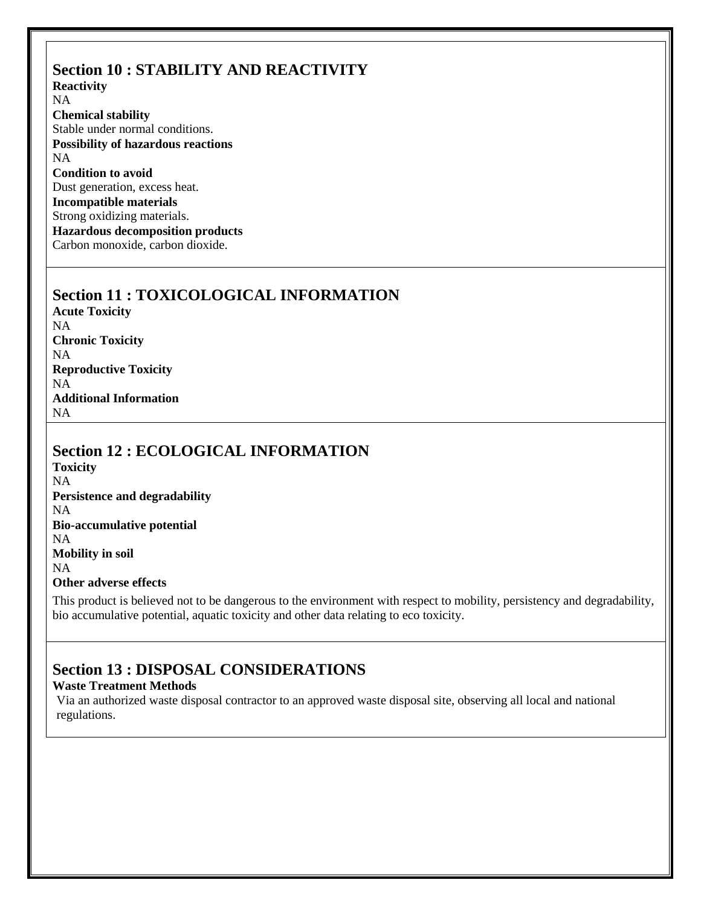# **Section 10 : STABILITY AND REACTIVITY**

**Reactivity** NA **Chemical stability**  Stable under normal conditions. **Possibility of hazardous reactions** NA **Condition to avoid** Dust generation, excess heat. **Incompatible materials** Strong oxidizing materials. **Hazardous decomposition products** Carbon monoxide, carbon dioxide.

### **Section 11 : TOXICOLOGICAL INFORMATION**

**Acute Toxicity** NA **Chronic Toxicity** NA **Reproductive Toxicity** NA **Additional Information** NA

### **Section 12 : ECOLOGICAL INFORMATION**

**Toxicity** NA **Persistence and degradability** NA **Bio-accumulative potential** NA **Mobility in soil** NA **Other adverse effects**

This product is believed not to be dangerous to the environment with respect to mobility, persistency and degradability, bio accumulative potential, aquatic toxicity and other data relating to eco toxicity.

## **Section 13 : DISPOSAL CONSIDERATIONS**

#### **Waste Treatment Methods**

Via an authorized waste disposal contractor to an approved waste disposal site, observing all local and national regulations.